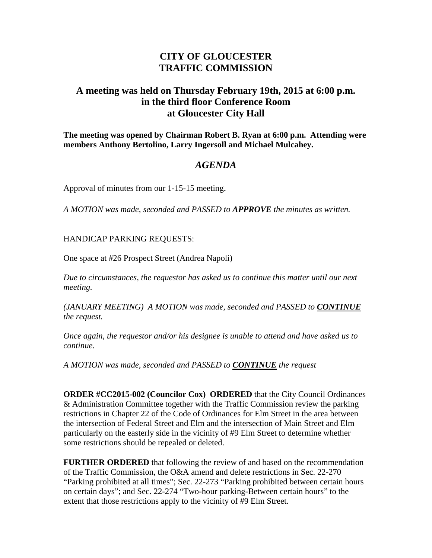## **CITY OF GLOUCESTER TRAFFIC COMMISSION**

## **A meeting was held on Thursday February 19th, 2015 at 6:00 p.m. in the third floor Conference Room at Gloucester City Hall**

**The meeting was opened by Chairman Robert B. Ryan at 6:00 p.m. Attending were members Anthony Bertolino, Larry Ingersoll and Michael Mulcahey.** 

## *AGENDA*

Approval of minutes from our 1-15-15 meeting.

*A MOTION was made, seconded and PASSED to APPROVE the minutes as written.*

## HANDICAP PARKING REQUESTS:

One space at #26 Prospect Street (Andrea Napoli)

*Due to circumstances, the requestor has asked us to continue this matter until our next meeting.*

*(JANUARY MEETING) A MOTION was made, seconded and PASSED to CONTINUE the request.*

*Once again, the requestor and/or his designee is unable to attend and have asked us to continue.*

*A MOTION was made, seconded and PASSED to CONTINUE the request*

**ORDER #CC2015-002 (Councilor Cox) ORDERED** that the City Council Ordinances & Administration Committee together with the Traffic Commission review the parking restrictions in Chapter 22 of the Code of Ordinances for Elm Street in the area between the intersection of Federal Street and Elm and the intersection of Main Street and Elm particularly on the easterly side in the vicinity of #9 Elm Street to determine whether some restrictions should be repealed or deleted.

**FURTHER ORDERED** that following the review of and based on the recommendation of the Traffic Commission, the O&A amend and delete restrictions in Sec. 22-270 "Parking prohibited at all times"; Sec. 22-273 "Parking prohibited between certain hours on certain days"; and Sec. 22-274 "Two-hour parking-Between certain hours" to the extent that those restrictions apply to the vicinity of #9 Elm Street.